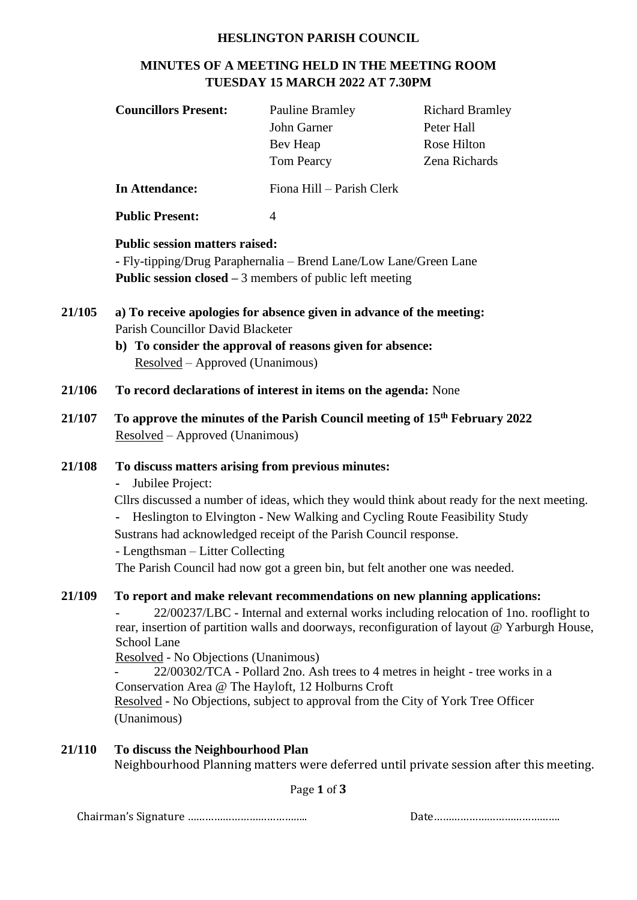## **HESLINGTON PARISH COUNCIL**

# **MINUTES OF A MEETING HELD IN THE MEETING ROOM TUESDAY 15 MARCH 2022 AT 7.30PM**

| <b>Councillors Present:</b>                                                                                          | <b>Pauline Bramley</b>    | <b>Richard Bramley</b> |  |  |  |
|----------------------------------------------------------------------------------------------------------------------|---------------------------|------------------------|--|--|--|
|                                                                                                                      | John Garner               | Peter Hall             |  |  |  |
|                                                                                                                      | Bev Heap                  | Rose Hilton            |  |  |  |
|                                                                                                                      | <b>Tom Pearcy</b>         | Zena Richards          |  |  |  |
| In Attendance:                                                                                                       | Fiona Hill – Parish Clerk |                        |  |  |  |
| <b>Public Present:</b>                                                                                               | 4                         |                        |  |  |  |
| <b>Public session matters raised:</b>                                                                                |                           |                        |  |  |  |
| $\Gamma_{\rm N}$ tinning Dependencie $\Gamma_{\rm N}$ and $\Gamma_{\rm N}$ and $\Gamma_{\rm N}$ and $\Gamma_{\rm N}$ |                           |                        |  |  |  |

**-** Fly-tipping/Drug Paraphernalia – Brend Lane/Low Lane/Green Lane **Public session closed –** 3 members of public left meeting

- **21/105 a) To receive apologies for absence given in advance of the meeting:**  Parish Councillor David Blacketer
	- **b) To consider the approval of reasons given for absence:**  Resolved – Approved (Unanimous)
- **21/106 To record declarations of interest in items on the agenda:** None
- **21/107 To approve the minutes of the Parish Council meeting of 15 th February 2022** Resolved – Approved (Unanimous)

## **21/108 To discuss matters arising from previous minutes:**

**-** Jubilee Project:

Cllrs discussed a number of ideas, which they would think about ready for the next meeting.

**-** Heslington to Elvington - New Walking and Cycling Route Feasibility Study

Sustrans had acknowledged receipt of the Parish Council response.

- Lengthsman – Litter Collecting

The Parish Council had now got a green bin, but felt another one was needed.

# **21/109 To report and make relevant recommendations on new planning applications:**

- 22/00237/LBC - Internal and external works including relocation of 1no. rooflight to rear, insertion of partition walls and doorways, reconfiguration of layout @ Yarburgh House, School Lane

Resolved - No Objections (Unanimous)

- 22/00302/TCA - Pollard 2no. Ash trees to 4 metres in height - tree works in a Conservation Area @ The Hayloft, 12 Holburns Croft Resolved - No Objections, subject to approval from the City of York Tree Officer

(Unanimous)

# **21/110 To discuss the Neighbourhood Plan**

Neighbourhood Planning matters were deferred until private session after this meeting.

Page **1** of **3**

Chairman's Signature ………………………………….. Date…………………………………….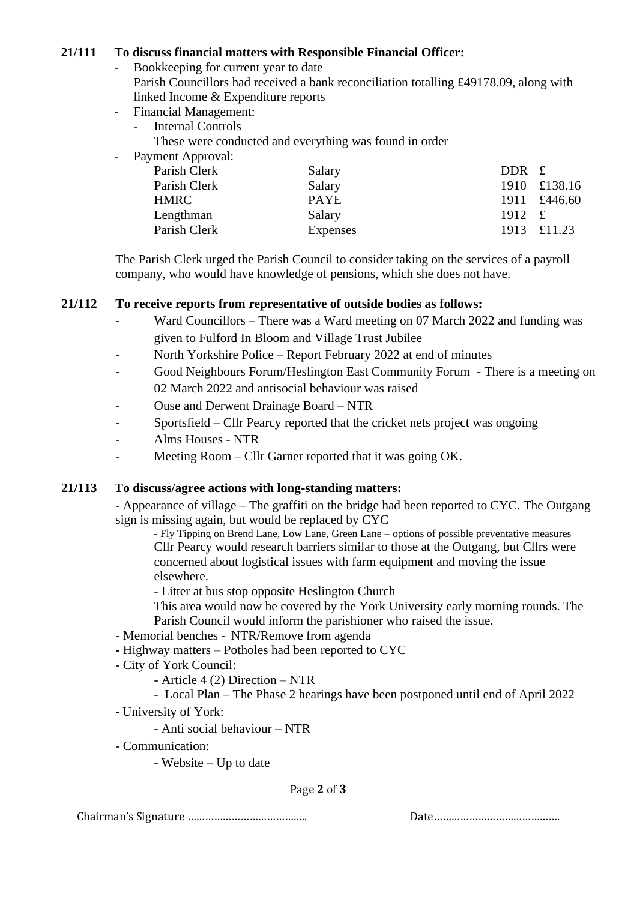# **21/111 To discuss financial matters with Responsible Financial Officer:**

- Bookkeeping for current year to date
	- Parish Councillors had received a bank reconciliation totalling £49178.09, along with linked Income & Expenditure reports
- Financial Management:
	- Internal Controls
		- These were conducted and everything was found in order
- Payment Approval:

| Salary      | DDR £      |              |
|-------------|------------|--------------|
| Salary      |            | 1910 £138.16 |
| <b>PAYE</b> |            | 1911 £446.60 |
| Salary      | 1912 $\pm$ |              |
| Expenses    |            | 1913 £11.23  |
|             |            |              |

The Parish Clerk urged the Parish Council to consider taking on the services of a payroll company, who would have knowledge of pensions, which she does not have.

# **21/112 To receive reports from representative of outside bodies as follows:**

- Ward Councillors There was a Ward meeting on 07 March 2022 and funding was given to Fulford In Bloom and Village Trust Jubilee
- North Yorkshire Police Report February 2022 at end of minutes
- Good Neighbours Forum/Heslington East Community Forum There is a meeting on 02 March 2022 and antisocial behaviour was raised
- Ouse and Derwent Drainage Board NTR
- Sportsfield Cllr Pearcy reported that the cricket nets project was ongoing
- Alms Houses NTR
- Meeting Room Cllr Garner reported that it was going OK.

## **21/113 To discuss/agree actions with long-standing matters:**

- Appearance of village – The graffiti on the bridge had been reported to CYC. The Outgang sign is missing again, but would be replaced by CYC

- Fly Tipping on Brend Lane, Low Lane, Green Lane – options of possible preventative measures Cllr Pearcy would research barriers similar to those at the Outgang, but Cllrs were concerned about logistical issues with farm equipment and moving the issue elsewhere.

- Litter at bus stop opposite Heslington Church

This area would now be covered by the York University early morning rounds. The Parish Council would inform the parishioner who raised the issue.

- Memorial benches NTR/Remove from agenda
- **-** Highway matters Potholes had been reported to CYC
- City of York Council:
	- Article 4 (2) Direction NTR
	- Local Plan The Phase 2 hearings have been postponed until end of April 2022
- University of York:
	- Anti social behaviour NTR
- Communication:
	- Website Up to date

# Page **2** of **3**

Chairman's Signature ………………………………….. Date…………………………………….